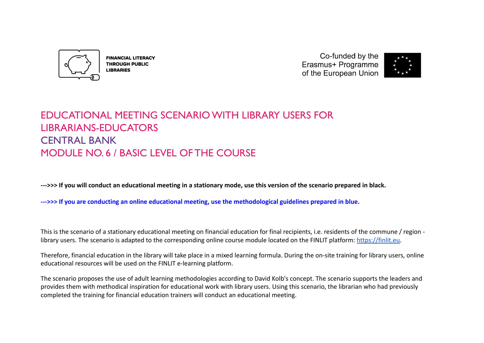

**FINANCIAL LITERACY THROUGH PUBLIC LIBRARIES** 

Co-funded by the Erasmus+ Programme of the European Union



# EDUCATIONAL MEETING SCENARIO WITH LIBRARY USERS FOR LIBRARIANS-EDUCATORS CENTRAL BANK MODULE NO. 6 / BASIC LEVEL OF THE COURSE

**--->>> If you will conduct an educational meeting in a stationary mode, use this version of the scenario prepared in black.**

**--->>> If you are conducting an online educational meeting, use the methodological guidelines prepared in blue.**

This is the scenario of a stationary educational meeting on financial education for final recipients, i.e. residents of the commune / region library users. The scenario is adapted to the corresponding online course module located on the FINLIT platform: [https://finlit.eu.](https://finlit.eu)

Therefore, financial education in the library will take place in a mixed learning formula. During the on-site training for library users, online educational resources will be used on the FINLIT e-learning platform.

The scenario proposes the use of adult learning methodologies according to David Kolb's concept. The scenario supports the leaders and provides them with methodical inspiration for educational work with library users. Using this scenario, the librarian who had previously completed the training for financial education trainers will conduct an educational meeting.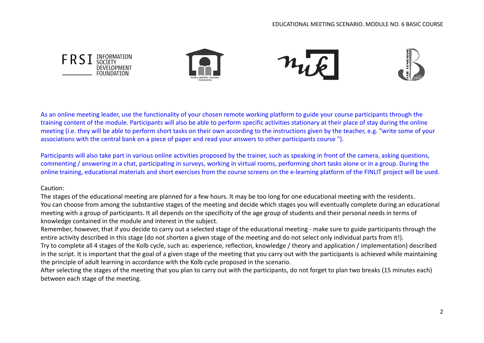

As an online meeting leader, use the functionality of your chosen remote working platform to guide your course participants through the training content of the module. Participants will also be able to perform specific activities stationary at their place of stay during the online meeting (i.e. they will be able to perform short tasks on their own according to the instructions given by the teacher, e.g. "write some of your associations with the central bank on a piece of paper and read your answers to other participants course ").

Participants will also take part in various online activities proposed by the trainer, such as speaking in front of the camera, asking questions, commenting / answering in a chat, participating in surveys, working in virtual rooms, performing short tasks alone or in a group. During the online training, educational materials and short exercises from the course screens on the e-learning platform of the FINLIT project will be used.

# Caution:

The stages of the educational meeting are planned for a few hours. It may be too long for one educational meeting with the residents. You can choose from among the substantive stages of the meeting and decide which stages you will eventually complete during an educational meeting with a group of participants. It all depends on the specificity of the age group of students and their personal needs in terms of knowledge contained in the module and interest in the subject.

Remember, however, that if you decide to carry out a selected stage of the educational meeting - make sure to guide participants through the entire activity described in this stage (do not shorten a given stage of the meeting and do not select only individual parts from it!).

Try to complete all 4 stages of the Kolb cycle, such as: experience, reflection, knowledge / theory and application / implementation) described in the script. It is important that the goal of a given stage of the meeting that you carry out with the participants is achieved while maintaining the principle of adult learning in accordance with the Kolb cycle proposed in the scenario.

After selecting the stages of the meeting that you plan to carry out with the participants, do not forget to plan two breaks (15 minutes each) between each stage of the meeting.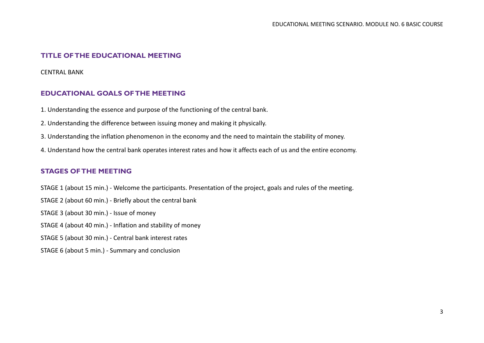# **TITLE OF THE EDUCATIONAL MEETING**

CENTRAL BANK

# **EDUCATIONAL GOALS OF THE MEETING**

- 1. Understanding the essence and purpose of the functioning of the central bank.
- 2. Understanding the difference between issuing money and making it physically.
- 3. Understanding the inflation phenomenon in the economy and the need to maintain the stability of money.
- 4. Understand how the central bank operates interest rates and how it affects each of us and the entire economy.

# **STAGES OF THE MEETING**

- STAGE 1 (about 15 min.) Welcome the participants. Presentation of the project, goals and rules of the meeting.
- STAGE 2 (about 60 min.) Briefly about the central bank
- STAGE 3 (about 30 min.) Issue of money
- STAGE 4 (about 40 min.) Inflation and stability of money
- STAGE 5 (about 30 min.) Central bank interest rates
- STAGE 6 (about 5 min.) Summary and conclusion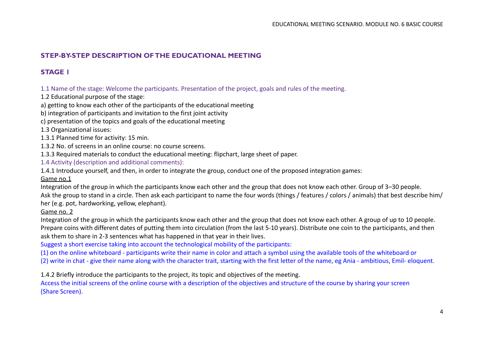# **STEP-BY-STEP DESCRIPTION OF THE EDUCATIONAL MEETING**

# **STAGE 1**

1.1 Name of the stage: Welcome the participants. Presentation of the project, goals and rules of the meeting.

1.2 Educational purpose of the stage:

a) getting to know each other of the participants of the educational meeting

b) integration of participants and invitation to the first joint activity

c) presentation of the topics and goals of the educational meeting

1.3 Organizational issues:

1.3.1 Planned time for activity: 15 min.

1.3.2 No. of screens in an online course: no course screens.

1.3.3 Required materials to conduct the educational meeting: flipchart, large sheet of paper.

1.4 Activity (description and additional comments):

1.4.1 Introduce yourself, and then, in order to integrate the group, conduct one of the proposed integration games:

#### Game no.1

Integration of the group in which the participants know each other and the group that does not know each other. Group of 3–30 people. Ask the group to stand in a circle. Then ask each participant to name the four words (things / features / colors / animals) that best describe him/ her (e.g. pot, hardworking, yellow, elephant).

# Game no. 2

Integration of the group in which the participants know each other and the group that does not know each other. A group of up to 10 people. Prepare coins with different dates of putting them into circulation (from the last 5-10 years). Distribute one coin to the participants, and then ask them to share in 2-3 sentences what has happened in that year in their lives.

Suggest a short exercise taking into account the technological mobility of the participants:

(1) on the online whiteboard - participants write their name in color and attach a symbol using the available tools of the whiteboard or

(2) write in chat - give their name along with the character trait, starting with the first letter of the name, eg Ania - ambitious, Emil- eloquent.

1.4.2 Briefly introduce the participants to the project, its topic and objectives of the meeting.

Access the initial screens of the online course with a description of the objectives and structure of the course by sharing your screen (Share Screen).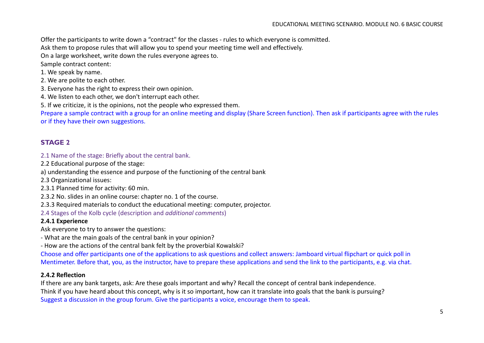Offer the participants to write down a "contract" for the classes - rules to which everyone is committed.

Ask them to propose rules that will allow you to spend your meeting time well and effectively.

On a large worksheet, write down the rules everyone agrees to.

Sample contract content:

1. We speak by name.

2. We are polite to each other.

3. Everyone has the right to express their own opinion.

4. We listen to each other, we don't interrupt each other.

5. If we criticize, it is the opinions, not the people who expressed them.

Prepare a sample contract with a group for an online meeting and display (Share Screen function). Then ask if participants agree with the rules or if they have their own suggestions.

# **STAGE 2**

2.1 Name of the stage: Briefly about the central bank.

2.2 Educational purpose of the stage:

a) understanding the essence and purpose of the functioning of the central bank

2.3 Organizational issues:

2.3.1 Planned time for activity: 60 min.

2.3.2 No. slides in an online course: chapter no. 1 of the course.

2.3.3 Required materials to conduct the educational meeting: computer, projector.

2.4 Stages of the Kolb cycle (description and *additional comments*)

#### **2.4.1 Experience**

Ask everyone to try to answer the questions:

- What are the main goals of the central bank in your opinion?

- How are the actions of the central bank felt by the proverbial Kowalski?

Choose and offer participants one of the applications to ask questions and collect answers: Jamboard virtual flipchart or quick poll in Mentimeter. Before that, you, as the instructor, have to prepare these applications and send the link to the participants, e.g. via chat.

#### **2.4.2 Reflection**

If there are any bank targets, ask: Are these goals important and why? Recall the concept of central bank independence. Think if you have heard about this concept, why is it so important, how can it translate into goals that the bank is pursuing? Suggest a discussion in the group forum. Give the participants a voice, encourage them to speak.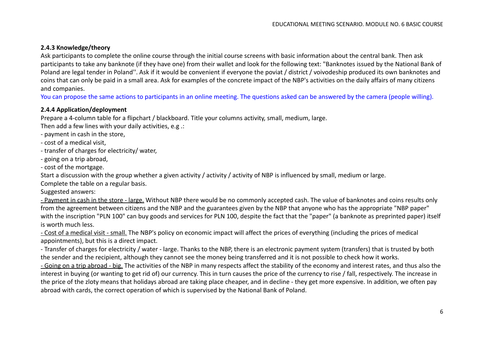#### **2.4.3 Knowledge/theory**

Ask participants to complete the online course through the initial course screens with basic information about the central bank. Then ask participants to take any banknote (if they have one) from their wallet and look for the following text: "Banknotes issued by the National Bank of Poland are legal tender in Poland''. Ask if it would be convenient if everyone the poviat / district / voivodeship produced its own banknotes and coins that can only be paid in a small area. Ask for examples of the concrete impact of the NBP's activities on the daily affairs of many citizens and companies.

You can propose the same actions to participants in an online meeting. The questions asked can be answered by the camera (people willing).

#### **2.4.4 Application/deployment**

Prepare a 4-column table for a flipchart / blackboard. Title your columns activity, small, medium, large.

Then add a few lines with your daily activities, e.g .:

- payment in cash in the store,

- cost of a medical visit,

- transfer of charges for electricity/ water,

- going on a trip abroad,

- cost of the mortgage.

Start a discussion with the group whether a given activity / activity / activity of NBP is influenced by small, medium or large.

Complete the table on a regular basis.

Suggested answers:

- Payment in cash in the store - large. Without NBP there would be no commonly accepted cash. The value of banknotes and coins results only from the agreement between citizens and the NBP and the guarantees given by the NBP that anyone who has the appropriate "NBP paper" with the inscription "PLN 100" can buy goods and services for PLN 100, despite the fact that the "paper" (a banknote as preprinted paper) itself is worth much less.

- Cost of a medical visit - small. The NBP's policy on economic impact will affect the prices of everything (including the prices of medical appointments), but this is a direct impact.

- Transfer of charges for electricity / water - large. Thanks to the NBP, there is an electronic payment system (transfers) that is trusted by both the sender and the recipient, although they cannot see the money being transferred and it is not possible to check how it works.

- Going on a trip abroad - big. The activities of the NBP in many respects affect the stability of the economy and interest rates, and thus also the interest in buying (or wanting to get rid of) our currency. This in turn causes the price of the currency to rise / fall, respectively. The increase in the price of the zloty means that holidays abroad are taking place cheaper, and in decline - they get more expensive. In addition, we often pay abroad with cards, the correct operation of which is supervised by the National Bank of Poland.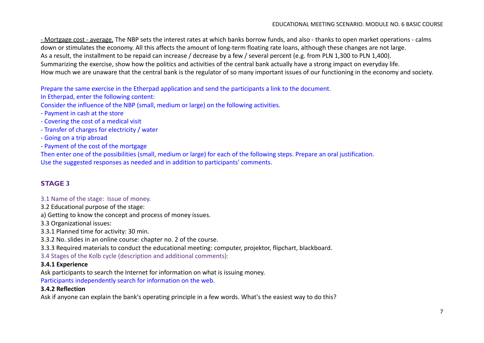- Mortgage cost - average. The NBP sets the interest rates at which banks borrow funds, and also - thanks to open market operations - calms down or stimulates the economy. All this affects the amount of long-term floating rate loans, although these changes are not large. As a result, the installment to be repaid can increase / decrease by a few / several percent (e.g. from PLN 1,300 to PLN 1,400). Summarizing the exercise, show how the politics and activities of the central bank actually have a strong impact on everyday life. How much we are unaware that the central bank is the regulator of so many important issues of our functioning in the economy and society.

Prepare the same exercise in the Etherpad application and send the participants a link to the document.

In Etherpad, enter the following content:

Consider the influence of the NBP (small, medium or large) on the following activities.

- Payment in cash at the store
- Covering the cost of a medical visit
- Transfer of charges for electricity / water
- Going on a trip abroad
- Payment of the cost of the mortgage

Then enter one of the possibilities (small, medium or large) for each of the following steps. Prepare an oral justification. Use the suggested responses as needed and in addition to participants' comments.

# **STAGE 3**

# 3.1 Name of the stage: Issue of money.

3.2 Educational purpose of the stage:

a) Getting to know the concept and process of money issues.

3.3 Organizational issues:

3.3.1 Planned time for activity: 30 min.

3.3.2 No. slides in an online course: chapter no. 2 of the course.

3.3.3 Required materials to conduct the educational meeting: computer, projektor, flipchart, blackboard.

3.4 Stages of the Kolb cycle (description and additional comments):

# **3.4.1 Experience**

Ask participants to search the Internet for information on what is issuing money.

Participants independently search for information on the web.

# **3.4.2 Reflection**

Ask if anyone can explain the bank's operating principle in a few words. What's the easiest way to do this?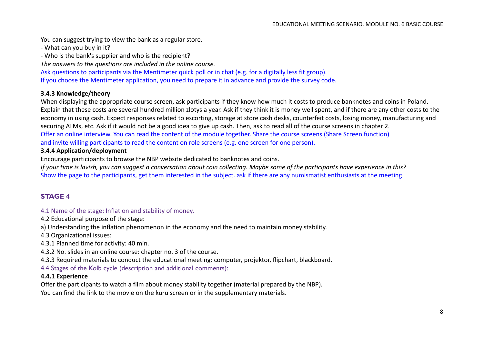You can suggest trying to view the bank as a regular store.

- What can you buy in it?

- Who is the bank's supplier and who is the recipient?

*The answers to the questions are included in the online course.*

Ask questions to participants via the Mentimeter quick poll or in chat (e.g. for a digitally less fit group).

If you choose the Mentimeter application, you need to prepare it in advance and provide the survey code.

#### **3.4.3 Knowledge/theory**

When displaying the appropriate course screen, ask participants if they know how much it costs to produce banknotes and coins in Poland. Explain that these costs are several hundred million zlotys a year. Ask if they think it is money well spent, and if there are any other costs to the economy in using cash. Expect responses related to escorting, storage at store cash desks, counterfeit costs, losing money, manufacturing and securing ATMs, etc. Ask if it would not be a good idea to give up cash. Then, ask to read all of the course screens in chapter 2. Offer an online interview. You can read the content of the module together. Share the course screens (Share Screen function) and invite willing participants to read the content on role screens (e.g. one screen for one person).

#### **3.4.4 Application/deployment**

Encourage participants to browse the NBP website dedicated to banknotes and coins.

*If your time is lavish, you can suggest a conversation about coin collecting. Maybe some of the participants have experience in this?* Show the page to the participants, get them interested in the subject. ask if there are any numismatist enthusiasts at the meeting

# **STAGE 4**

4.1 Name of the stage: Inflation and stability of money.

4.2 Educational purpose of the stage:

a) Understanding the inflation phenomenon in the economy and the need to maintain money stability.

4.3 Organizational issues:

4.3.1 Planned time for activity: 40 min.

4.3.2 No. slides in an online course: chapter no. 3 of the course.

4.3.3 Required materials to conduct the educational meeting: computer, projektor, flipchart, blackboard.

4.4 Stages of the Kolb cycle (description and additional comments):

#### **4.4.1 Experience**

Offer the participants to watch a film about money stability together (material prepared by the NBP). You can find the link to the movie on the kuru screen or in the supplementary materials.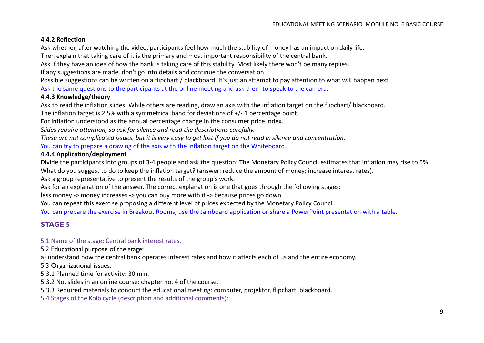# **4.4.2 Reflection**

Ask whether, after watching the video, participants feel how much the stability of money has an impact on daily life.

Then explain that taking care of it is the primary and most important responsibility of the central bank.

Ask if they have an idea of how the bank is taking care of this stability. Most likely there won't be many replies.

If any suggestions are made, don't go into details and continue the conversation.

Possible suggestions can be written on a flipchart / blackboard. It's just an attempt to pay attention to what will happen next.

Ask the same questions to the participants at the online meeting and ask them to speak to the camera.

## **4.4.3 Knowledge/theory**

Ask to read the inflation slides. While others are reading, draw an axis with the inflation target on the flipchart/ blackboard.

The inflation target is 2.5% with a symmetrical band for deviations of +/- 1 percentage point.

For inflation understood as the annual percentage change in the consumer price index.

*Slides require attention, so ask for silence and read the descriptions carefully.*

*These are not complicated issues, but it is very easy to get lost if you do not read in silence and concentration.*

You can try to prepare a drawing of the axis with the inflation target on the Whiteboard.

## **4.4.4 Application/deployment**

Divide the participants into groups of 3-4 people and ask the question: The Monetary Policy Council estimates that inflation may rise to 5%. What do you suggest to do to keep the inflation target? (answer: reduce the amount of money; increase interest rates).

Ask a group representative to present the results of the group's work.

Ask for an explanation of the answer. The correct explanation is one that goes through the following stages:

less money -> money increases -> you can buy more with it -> because prices go down.

You can repeat this exercise proposing a different level of prices expected by the Monetary Policy Council.

You can prepare the exercise in Breakout Rooms, use the Jamboard application or share a PowerPoint presentation with a table.

# **STAGE 5**

# 5.1 Name of the stage: Central bank interest rates.

5.2 Educational purpose of the stage:

a) understand how the central bank operates interest rates and how it affects each of us and the entire economy.

5.3 Organizational issues:

5.3.1 Planned time for activity: 30 min.

5.3.2 No. slides in an online course: chapter no. 4 of the course.

5.3.3 Required materials to conduct the educational meeting: computer, projektor, flipchart, blackboard.

5.4 Stages of the Kolb cycle (description and additional comments):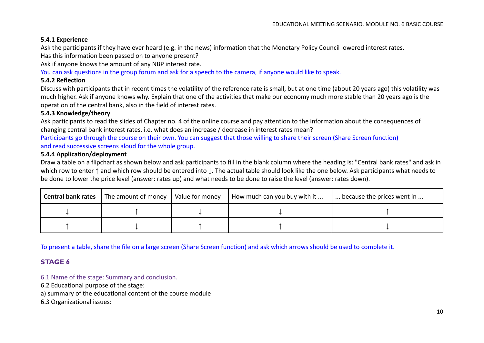## **5.4.1 Experience**

Ask the participants if they have ever heard (e.g. in the news) information that the Monetary Policy Council lowered interest rates.

Has this information been passed on to anyone present?

Ask if anyone knows the amount of any NBP interest rate.

You can ask questions in the group forum and ask for a speech to the camera, if anyone would like to speak.

#### **5.4.2 Reflection**

Discuss with participants that in recent times the volatility of the reference rate is small, but at one time (about 20 years ago) this volatility was much higher. Ask if anyone knows why. Explain that one of the activities that make our economy much more stable than 20 years ago is the operation of the central bank, also in the field of interest rates.

## **5.4.3 Knowledge/theory**

Ask participants to read the slides of Chapter no. 4 of the online course and pay attention to the information about the consequences of changing central bank interest rates, i.e. what does an increase / decrease in interest rates mean?

Participants go through the course on their own. You can suggest that those willing to share their screen (Share Screen function) and read successive screens aloud for the whole group.

#### **5.4.4 Application/deployment**

Draw a table on a flipchart as shown below and ask participants to fill in the blank column where the heading is: "Central bank rates" and ask in which row to enter **↑** and which row should be entered into **↓**. The actual table should look like the one below. Ask participants what needs to be done to lower the price level (answer: rates up) and what needs to be done to raise the level (answer: rates down).

| <b>Central bank rates</b> | The amount of money | Value for money | How much can you buy with it | because the prices went in |
|---------------------------|---------------------|-----------------|------------------------------|----------------------------|
|                           |                     |                 |                              |                            |
|                           |                     |                 |                              |                            |

To present a table, share the file on a large screen (Share Screen function) and ask which arrows should be used to complete it.

# **STAGE 6**

6.1 Name of the stage: Summary and conclusion.

6.2 Educational purpose of the stage:

a) summary of the educational content of the course module

6.3 Organizational issues: